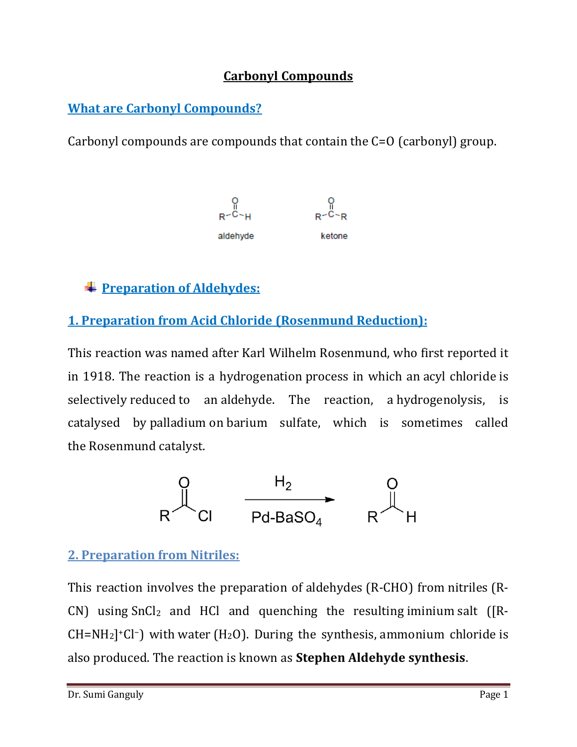### **Carbonyl Compounds**

# **What are Carbonyl Compounds?**

Carbonyl compounds are compounds that contain the C=O (carbonyl) group.



# **Preparation of Aldehydes:**

# **1. Preparation from Acid Chloride (Rosenmund Reduction):**

This reaction was named after [Karl Wilhelm Rosenmund,](https://en.wikipedia.org/wiki/Karl_Wilhelm_Rosenmund) who first reported it in 1918. The reaction is a [hydrogenation](https://en.wikipedia.org/wiki/Hydrogenation) process in which an [acyl chloride](https://en.wikipedia.org/wiki/Acyl_chloride) is selectively [reduced](https://en.wikipedia.org/wiki/Organic_redox_reaction) to an [aldehyde.](https://en.wikipedia.org/wiki/Aldehyde) The reaction, a [hydrogenolysis,](https://en.wikipedia.org/wiki/Hydrogenolysis) is catalysed by [palladium](https://en.wikipedia.org/wiki/Palladium) on [barium sulfate,](https://en.wikipedia.org/wiki/Barium_sulfate) which is sometimes called the Rosenmund catalyst.



#### **2. Preparation from Nitriles:**

This reaction involves the preparation of [aldehydes](https://en.wikipedia.org/wiki/Aldehydes) (R-CHO) from [nitriles](https://en.wikipedia.org/wiki/Nitriles) (R-CN) using  $SnCl<sub>2</sub>$  and HCl and quenching the resulting [iminium](https://en.wikipedia.org/wiki/Iminium) salt ([R- $CH=NH<sub>2</sub>$ <sup>+</sup>Cl<sup>-</sup>) with [water](https://en.wikipedia.org/wiki/Water_(molecule)) (H<sub>2</sub>O). During the synthesis, [ammonium chloride](https://en.wikipedia.org/wiki/Ammonium_chloride) is also produced. The reaction is known as **Stephen Aldehyde synthesis**.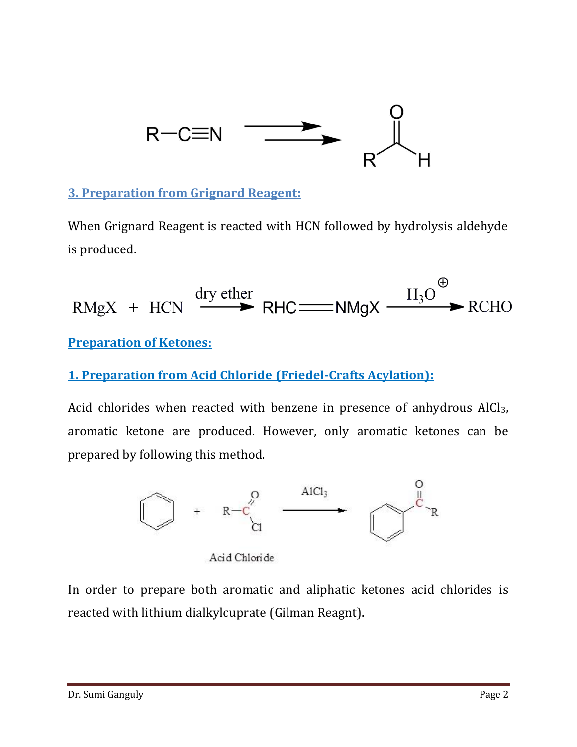

# **3. Preparation from Grignard Reagent:**

When Grignard Reagent is reacted with HCN followed by hydrolysis aldehyde is produced.

$$
RMgX + HCN \xrightarrow{dry \text{ether}} RHC = NMgX \xrightarrow{H_3O} \text{RCHO}
$$

#### **Preparation of Ketones:**

## **1. Preparation from Acid Chloride (Friedel-Crafts Acylation):**

Acid chlorides when reacted with benzene in presence of anhydrous AlCl<sub>3</sub>, aromatic ketone are produced. However, only aromatic ketones can be prepared by following this method.



Acid Chloride

In order to prepare both aromatic and aliphatic ketones acid chlorides is reacted with lithium dialkylcuprate (Gilman Reagnt).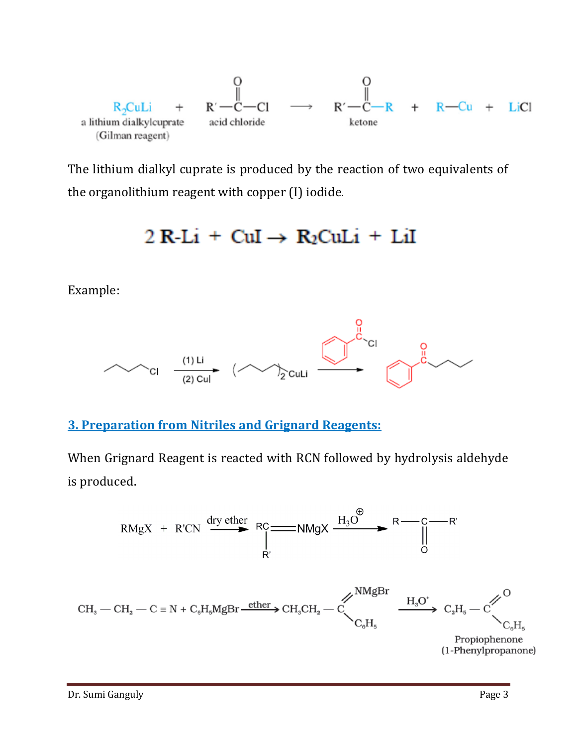

The lithium dialkyl cuprate is produced by the reaction of two equivalents of the organolithium reagent with copper (I) iodide.

# $2 \text{ R-Li} + \text{CuI} \rightarrow \text{R}_2 \text{CuLi} + \text{LiI}$

Example:



#### **3. Preparation from Nitriles and Grignard Reagents:**

When Grignard Reagent is reacted with RCN followed by hydrolysis aldehyde is produced.

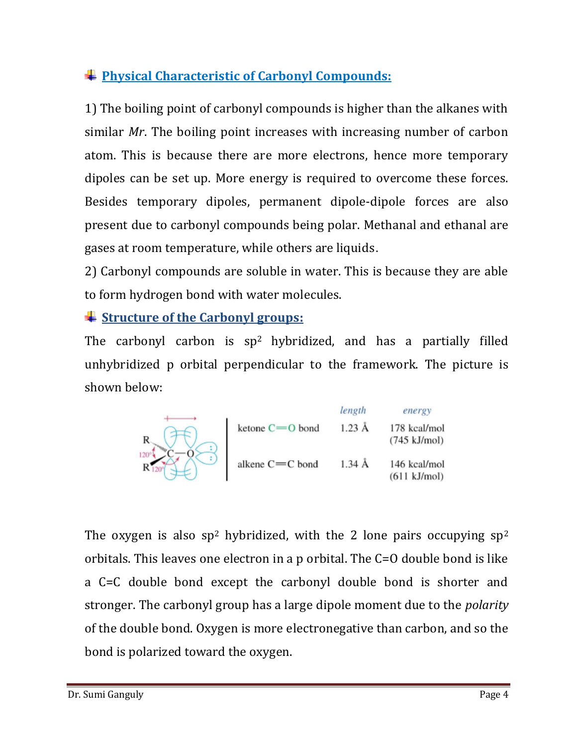# **Physical Characteristic of Carbonyl Compounds:**

1) The boiling point of carbonyl compounds is higher than the alkanes with similar *Mr*. The boiling point increases with increasing number of carbon atom. This is because there are more electrons, hence more temporary dipoles can be set up. More energy is required to overcome these forces. Besides temporary dipoles, permanent dipole-dipole forces are also present due to carbonyl compounds being polar. Methanal and ethanal are gases at room temperature, while others are liquids.

2) Carbonyl compounds are soluble in water. This is because they are able to form hydrogen bond with water molecules.

# **Structure of the Carbonyl groups:**

The carbonyl carbon is sp<sup>2</sup> hybridized, and has a partially filled unhybridized p orbital perpendicular to the framework. The picture is shown below:

|             |                 | length           | energy                                 |
|-------------|-----------------|------------------|----------------------------------------|
| $120^\circ$ | ketone C=0 bond | $1.23 \text{ Å}$ | 178 kcal/mol<br>$(745 \text{ kJ/mol})$ |
|             | alkene C=C bond | $1.34 \text{ Å}$ | 146 kcal/mol<br>$(611 \text{ kJ/mol})$ |

The oxygen is also sp<sup>2</sup> hybridized, with the 2 lone pairs occupying  $sp^2$ orbitals. This leaves one electron in a p orbital. The C=O double bond is like a C=C double bond except the carbonyl double bond is shorter and stronger. The carbonyl group has a large dipole moment due to the *polarity*  of the double bond. Oxygen is more electronegative than carbon, and so the bond is polarized toward the oxygen.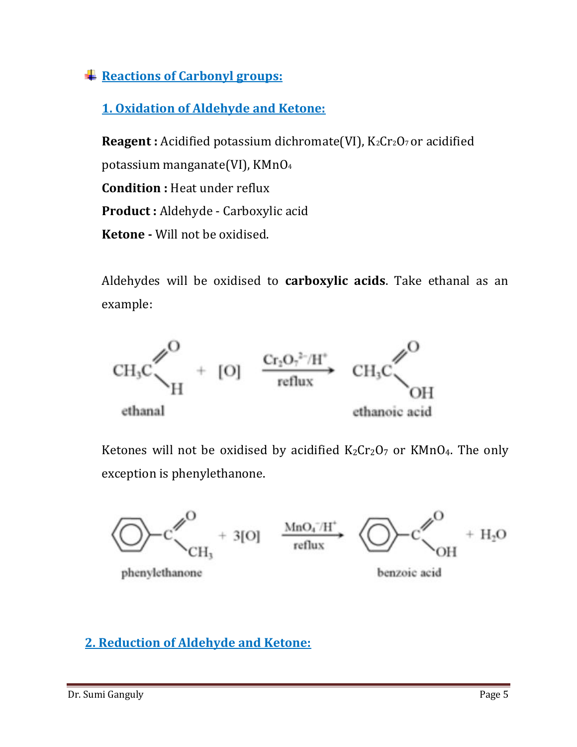# **Reactions of Carbonyl groups:**

# **1. Oxidation of Aldehyde and Ketone:**

**Reagent :** Acidified potassium dichromate(VI), K<sub>2</sub>Cr<sub>2</sub>O<sub>7</sub> or acidified potassium manganate(VI), KMnO<sup>4</sup> **Condition :** Heat under reflux **Product :** Aldehyde - Carboxylic acid **Ketone -** Will not be oxidised.

Aldehydes will be oxidised to **carboxylic acids**. Take ethanal as an example:



Ketones will not be oxidised by acidified  $K_2Cr_2O_7$  or KMnO<sub>4</sub>. The only exception is phenylethanone.



#### **2. Reduction of Aldehyde and Ketone:**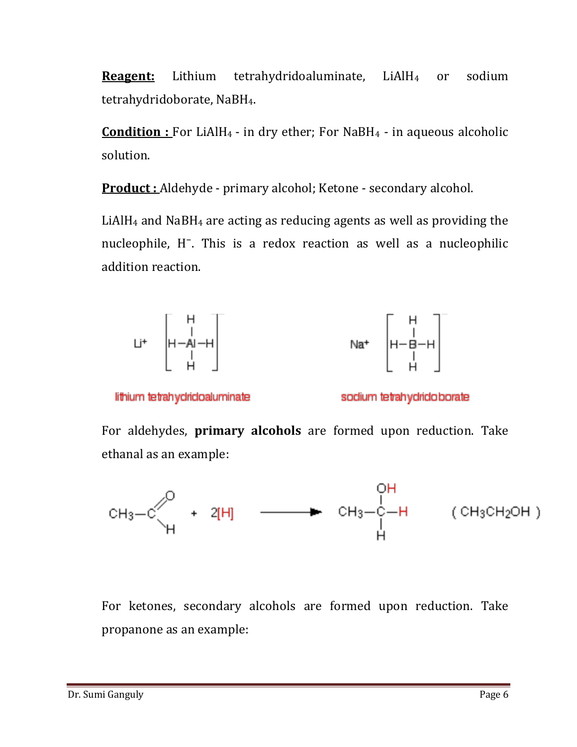**Reagent:** Lithium tetrahydridoaluminate, LiAlH<sub>4</sub> or sodium tetrahydridoborate, NaBH4.

**<u>Condition : For LiAlH4</u>** - in dry ether; For NaBH4 - in aqueous alcoholic solution.

**Product :** Aldehyde - primary alcohol; Ketone - secondary alcohol.

LiAlH<sup>4</sup> and NaBH<sup>4</sup> are acting as reducing agents as well as providing the nucleophile, H<sup>-</sup>. This is a redox reaction as well as a nucleophilic addition reaction.





lithium tetrahydridoaluminate

sodium tetrahydridoborate

For aldehydes, **primary alcohols** are formed upon reduction. Take ethanal as an example:



For ketones, secondary alcohols are formed upon reduction. Take propanone as an example: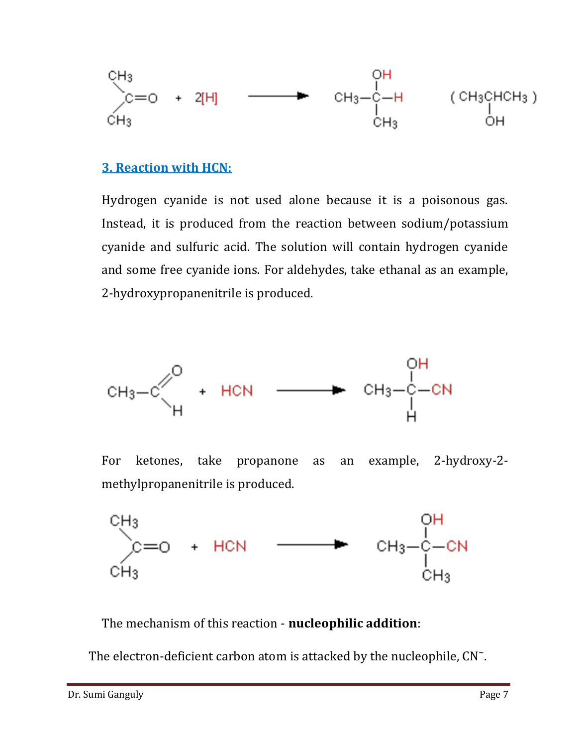$$
\begin{array}{cccc}\n\text{CH}_3 & & & \text{OH} \\
\text{C} = _0 + 2[H] & \longrightarrow & \text{CH}_3-\text{C} - H & (\text{CH}_3\text{CHCH}_3) \\
\text{CH}_3 & & \text{CH}_3 & \text{OH} \\
\end{array}
$$

#### **3. Reaction with HCN:**

Hydrogen cyanide is not used alone because it is a poisonous gas. Instead, it is produced from the reaction between sodium/potassium cyanide and sulfuric acid. The solution will contain hydrogen cyanide and some free cyanide ions. For aldehydes, take ethanal as an example, 2-hydroxypropanenitrile is produced.



For ketones, take propanone as an example, 2-hydroxy-2 methylpropanenitrile is produced.



The mechanism of this reaction - **nucleophilic addition**:

The electron-deficient carbon atom is attacked by the nucleophile, CN<sup>-</sup>.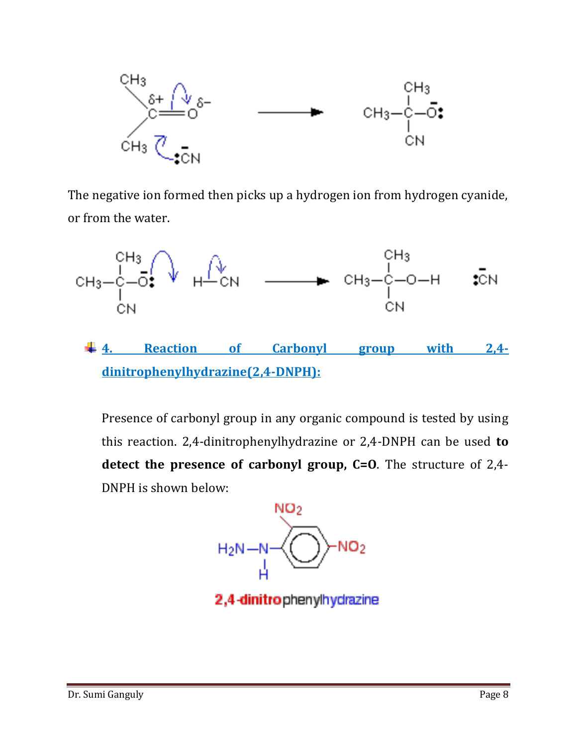

The negative ion formed then picks up a hydrogen ion from hydrogen cyanide, or from the water.



**4. Reaction of Carbonyl group with 2,4 dinitrophenylhydrazine(2,4-DNPH):**

Presence of carbonyl group in any organic compound is tested by using this reaction. 2,4-dinitrophenylhydrazine or 2,4-DNPH can be used **to detect the presence of carbonyl group, C=O**. The structure of 2,4- DNPH is shown below:



2,4-dinitrophenylhydrazine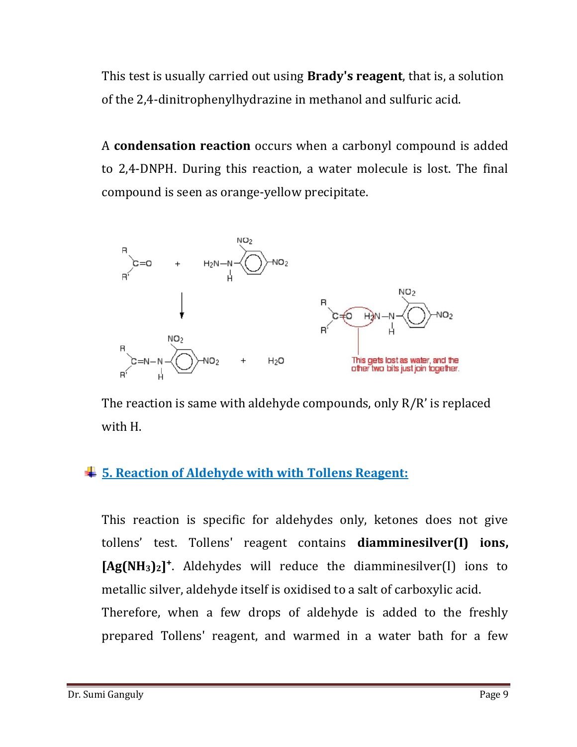This test is usually carried out using **Brady's reagent**, that is, a solution of the 2,4-dinitrophenylhydrazine in methanol and sulfuric acid.

A **condensation reaction** occurs when a carbonyl compound is added to 2,4-DNPH. During this reaction, a water molecule is lost. The final compound is seen as orange-yellow precipitate.



The reaction is same with aldehyde compounds, only R/R' is replaced with H.

# **5. Reaction of Aldehyde with with Tollens Reagent:**

This reaction is specific for aldehydes only, ketones does not give tollens' test. Tollens' reagent contains **diamminesilver(I) ions, [Ag(NH3)2]⁺**. Aldehydes will reduce the diamminesilver(I) ions to metallic silver, aldehyde itself is oxidised to a salt of carboxylic acid. Therefore, when a few drops of aldehyde is added to the freshly prepared Tollens' reagent, and warmed in a water bath for a few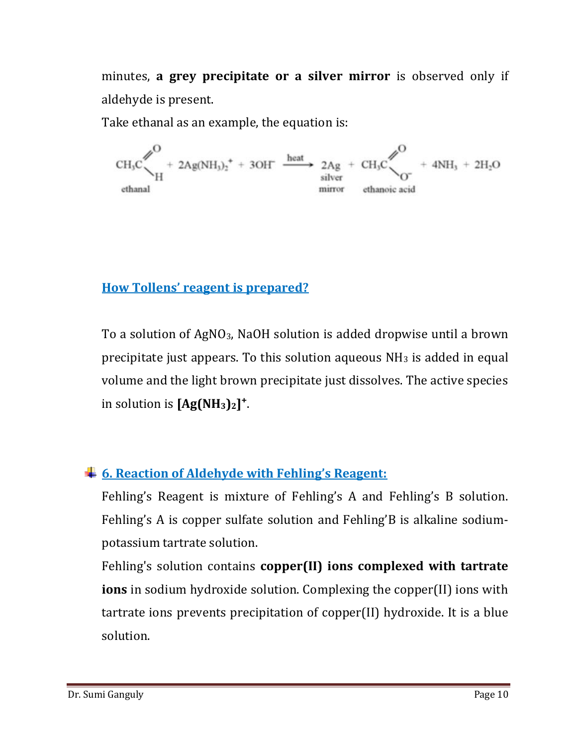minutes, **a grey precipitate or a silver mirror** is observed only if aldehyde is present.

Take ethanal as an example, the equation is:

 $CH_3C \begin{matrix} \nearrow \\ \searrow \\ H \end{matrix}$  + 2Ag(NH<sub>3</sub>)<sub>2</sub><sup>+</sup> + 3OH  $\xrightarrow{\text{heat}}$  2Ag + CH<sub>3</sub>C  $\begin{matrix} \nearrow \\ \nearrow \\ O \end{matrix}$  + 4NH<sub>3</sub> + 2H<sub>2</sub>O ethanal

# **How Tollens' reagent is prepared?**

To a solution of AgNO3, NaOH solution is added dropwise until a brown precipitate just appears. To this solution aqueous  $NH<sub>3</sub>$  is added in equal volume and the light brown precipitate just dissolves. The active species in solution is  $[Ag(NH_3)_2]^+$ .

# **6. Reaction of Aldehyde with Fehling's Reagent:**

Fehling's Reagent is mixture of Fehling's A and Fehling's B solution. Fehling's A is copper sulfate solution and Fehling'B is alkaline sodiumpotassium tartrate solution.

Fehling's solution contains **copper(II) ions complexed with tartrate ions** in sodium hydroxide solution. Complexing the copper(II) ions with tartrate ions prevents precipitation of copper(II) hydroxide. It is a blue solution.